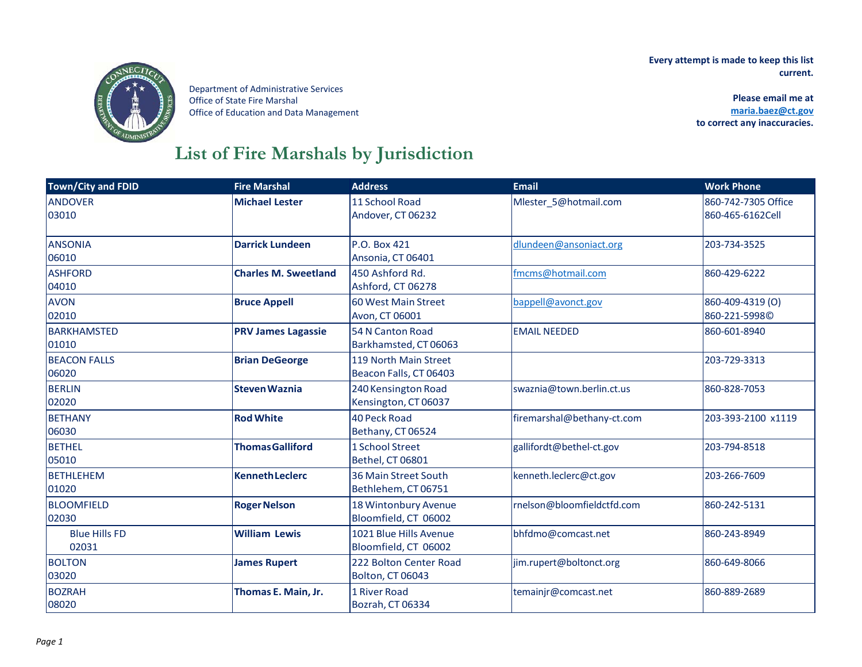**Every attempt is made to keep this list current.** 



Department of Administrative Services Office of State Fire Marshal Office of Education and Data Management

 **Please email me at [maria.baez@ct.gov](mailto:maria.baez@ct.gov)  to correct any inaccuracies.**

## **List of Fire Marshals by Jurisdiction**

| <b>Town/City and FDID</b> | <b>Fire Marshal</b>         | <b>Address</b>          | <b>Email</b>               | <b>Work Phone</b>   |
|---------------------------|-----------------------------|-------------------------|----------------------------|---------------------|
| <b>ANDOVER</b>            | <b>Michael Lester</b>       | 11 School Road          | Mlester 5@hotmail.com      | 860-742-7305 Office |
| 03010                     |                             | Andover, CT 06232       |                            | 860-465-6162Cell    |
| <b>ANSONIA</b>            | <b>Darrick Lundeen</b>      | P.O. Box 421            | dlundeen@ansoniact.org     | 203-734-3525        |
| 06010                     |                             | Ansonia, CT 06401       |                            |                     |
| <b>ASHFORD</b>            | <b>Charles M. Sweetland</b> | 450 Ashford Rd.         | fmcms@hotmail.com          | 860-429-6222        |
| 04010                     |                             | Ashford, CT 06278       |                            |                     |
| <b>AVON</b>               | <b>Bruce Appell</b>         | 60 West Main Street     | bappell@avonct.gov         | 860-409-4319 (O)    |
| 02010                     |                             | Avon, CT 06001          |                            | 860-221-5998C       |
| <b>BARKHAMSTED</b>        | <b>PRV James Lagassie</b>   | 54 N Canton Road        | <b>EMAIL NEEDED</b>        | 860-601-8940        |
| 01010                     |                             | Barkhamsted, CT 06063   |                            |                     |
| <b>BEACON FALLS</b>       | <b>Brian DeGeorge</b>       | 119 North Main Street   |                            | 203-729-3313        |
| 06020                     |                             | Beacon Falls, CT 06403  |                            |                     |
| <b>BERLIN</b>             | <b>Steven Waznia</b>        | 240 Kensington Road     | swaznia@town.berlin.ct.us  | 860-828-7053        |
| 02020                     |                             | Kensington, CT 06037    |                            |                     |
| <b>BETHANY</b>            | <b>Rod White</b>            | <b>40 Peck Road</b>     | firemarshal@bethany-ct.com | 203-393-2100 x1119  |
| 06030                     |                             | Bethany, CT 06524       |                            |                     |
| <b>BETHEL</b>             | <b>Thomas Galliford</b>     | 1 School Street         | gallifordt@bethel-ct.gov   | 203-794-8518        |
| 05010                     |                             | Bethel, CT 06801        |                            |                     |
| <b>BETHLEHEM</b>          | <b>Kenneth Leclerc</b>      | 36 Main Street South    | kenneth.leclerc@ct.gov     | 203-266-7609        |
| 01020                     |                             | Bethlehem, CT 06751     |                            |                     |
| <b>BLOOMFIELD</b>         | <b>Roger Nelson</b>         | 18 Wintonbury Avenue    | rnelson@bloomfieldctfd.com | 860-242-5131        |
| 02030                     |                             | Bloomfield, CT 06002    |                            |                     |
| <b>Blue Hills FD</b>      | <b>William Lewis</b>        | 1021 Blue Hills Avenue  | bhfdmo@comcast.net         | 860-243-8949        |
| 02031                     |                             | Bloomfield, CT 06002    |                            |                     |
| <b>BOLTON</b>             | <b>James Rupert</b>         | 222 Bolton Center Road  | jim.rupert@boltonct.org    | 860-649-8066        |
| 03020                     |                             | <b>Bolton, CT 06043</b> |                            |                     |
| <b>BOZRAH</b>             | Thomas E. Main, Jr.         | 1 River Road            | temainjr@comcast.net       | 860-889-2689        |
| 08020                     |                             | Bozrah, CT 06334        |                            |                     |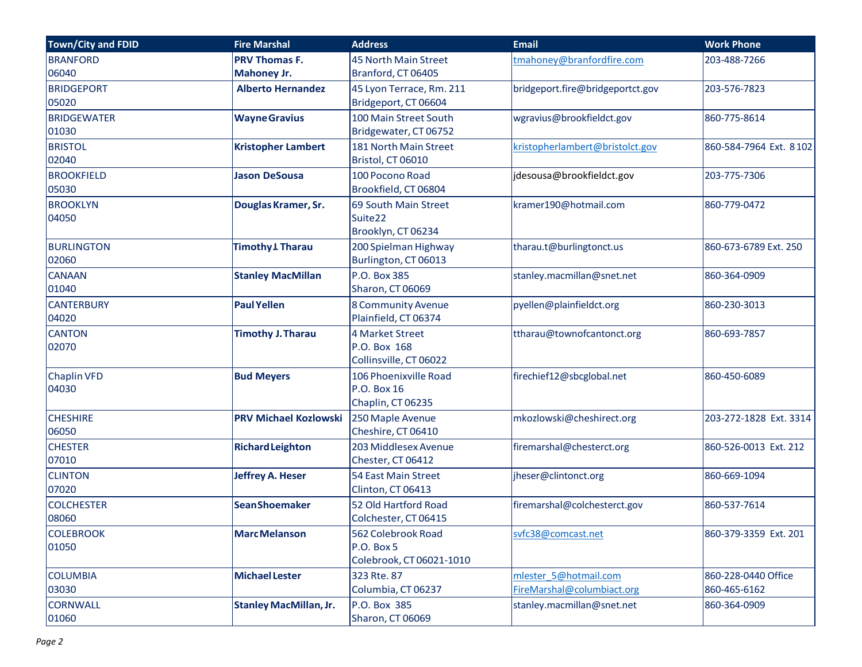| Town/City and FDID          | <b>Fire Marshal</b>           | <b>Address</b>                                                    | <b>Email</b>                                        | <b>Work Phone</b>                   |
|-----------------------------|-------------------------------|-------------------------------------------------------------------|-----------------------------------------------------|-------------------------------------|
| <b>BRANFORD</b>             | <b>PRV Thomas F.</b>          | 45 North Main Street                                              | tmahoney@branfordfire.com                           | 203-488-7266                        |
| 06040                       | Mahoney Jr.                   | Branford, CT 06405                                                |                                                     |                                     |
| <b>BRIDGEPORT</b><br>05020  | <b>Alberto Hernandez</b>      | 45 Lyon Terrace, Rm. 211<br>Bridgeport, CT 06604                  | bridgeport.fire@bridgeportct.gov                    | 203-576-7823                        |
| <b>BRIDGEWATER</b><br>01030 | <b>Wayne Gravius</b>          | 100 Main Street South<br>Bridgewater, CT 06752                    | wgravius@brookfieldct.gov                           | 860-775-8614                        |
| <b>BRISTOL</b><br>02040     | <b>Kristopher Lambert</b>     | 181 North Main Street<br>Bristol, CT 06010                        | kristopherlambert@bristolct.gov                     | 860-584-7964 Ext. 8102              |
| <b>BROOKFIELD</b><br>05030  | <b>Jason DeSousa</b>          | 100 Pocono Road<br>Brookfield, CT 06804                           | jdesousa@brookfieldct.gov                           | 203-775-7306                        |
| <b>BROOKLYN</b><br>04050    | Douglas Kramer, Sr.           | 69 South Main Street<br>Suite <sub>22</sub><br>Brooklyn, CT 06234 | kramer190@hotmail.com                               | 860-779-0472                        |
| <b>BURLINGTON</b><br>02060  | <b>Timothy J. Tharau</b>      | 200 Spielman Highway<br>Burlington, CT 06013                      | tharau.t@burlingtonct.us                            | 860-673-6789 Ext. 250               |
| <b>CANAAN</b><br>01040      | <b>Stanley MacMillan</b>      | P.O. Box 385<br>Sharon, CT 06069                                  | stanley.macmillan@snet.net                          | 860-364-0909                        |
| <b>CANTERBURY</b><br>04020  | <b>Paul Yellen</b>            | 8 Community Avenue<br>Plainfield, CT 06374                        | pyellen@plainfieldct.org                            | 860-230-3013                        |
| <b>CANTON</b><br>02070      | <b>Timothy J. Tharau</b>      | 4 Market Street<br>P.O. Box 168<br>Collinsville, CT 06022         | ttharau@townofcantonct.org                          | 860-693-7857                        |
| <b>Chaplin VFD</b><br>04030 | <b>Bud Meyers</b>             | 106 Phoenixville Road<br>P.O. Box 16<br>Chaplin, CT 06235         | firechief12@sbcglobal.net                           | 860-450-6089                        |
| <b>CHESHIRE</b><br>06050    | <b>PRV Michael Kozlowski</b>  | 250 Maple Avenue<br>Cheshire, CT 06410                            | mkozlowski@cheshirect.org                           | 203-272-1828 Ext. 3314              |
| <b>CHESTER</b><br>07010     | <b>Richard Leighton</b>       | 203 Middlesex Avenue<br>Chester, CT 06412                         | firemarshal@chesterct.org                           | 860-526-0013 Ext. 212               |
| <b>CLINTON</b><br>07020     | <b>Jeffrey A. Heser</b>       | 54 East Main Street<br>Clinton, CT 06413                          | jheser@clintonct.org                                | 860-669-1094                        |
| <b>COLCHESTER</b><br>08060  | <b>SeanShoemaker</b>          | 52 Old Hartford Road<br>Colchester, CT 06415                      | firemarshal@colchesterct.gov                        | 860-537-7614                        |
| <b>COLEBROOK</b><br>01050   | <b>MarcMelanson</b>           | 562 Colebrook Road<br>P.O. Box 5<br>Colebrook, CT 06021-1010      | svfc38@comcast.net                                  | 860-379-3359 Ext. 201               |
| <b>COLUMBIA</b><br>03030    | <b>Michael Lester</b>         | 323 Rte. 87<br>Columbia, CT 06237                                 | mlester 5@hotmail.com<br>FireMarshal@columbiact.org | 860-228-0440 Office<br>860-465-6162 |
| <b>CORNWALL</b><br>01060    | <b>Stanley MacMillan, Jr.</b> | P.O. Box 385<br>Sharon, CT 06069                                  | stanley.macmillan@snet.net                          | 860-364-0909                        |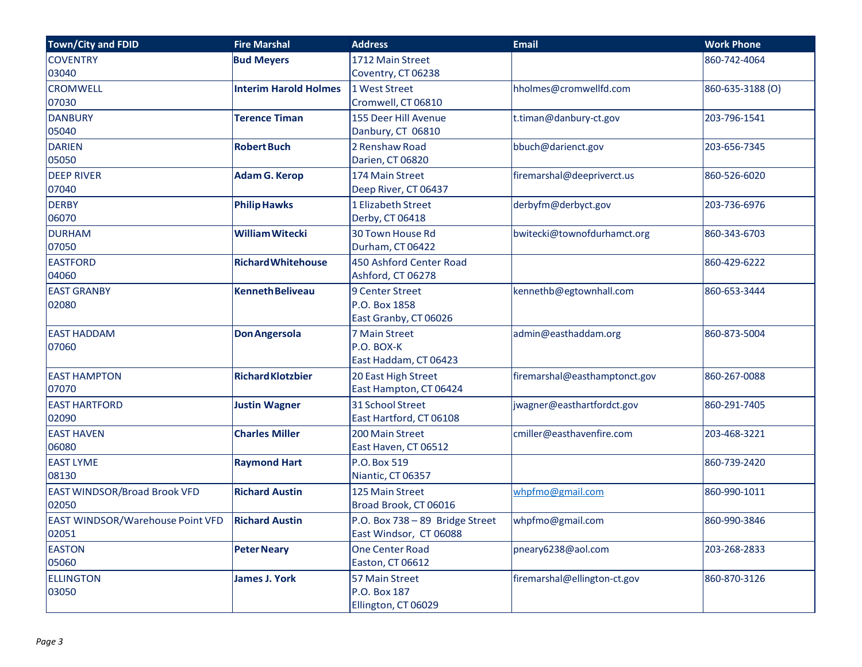| <b>Town/City and FDID</b>               | <b>Fire Marshal</b>          | <b>Address</b>                  | <b>Email</b>                  | <b>Work Phone</b> |
|-----------------------------------------|------------------------------|---------------------------------|-------------------------------|-------------------|
| <b>COVENTRY</b>                         | <b>Bud Meyers</b>            | 1712 Main Street                |                               | 860-742-4064      |
| 03040                                   |                              | Coventry, CT 06238              |                               |                   |
| <b>CROMWELL</b>                         | <b>Interim Harold Holmes</b> | 1 West Street                   | hholmes@cromwellfd.com        | 860-635-3188 (O)  |
| 07030                                   |                              | Cromwell, CT 06810              |                               |                   |
| <b>DANBURY</b>                          | <b>Terence Timan</b>         | 155 Deer Hill Avenue            | t.timan@danbury-ct.gov        | 203-796-1541      |
| 05040                                   |                              | Danbury, CT 06810               |                               |                   |
| <b>DARIEN</b>                           | <b>Robert Buch</b>           | 2 Renshaw Road                  | bbuch@darienct.gov            | 203-656-7345      |
| 05050                                   |                              | Darien, CT 06820                |                               |                   |
| <b>DEEP RIVER</b>                       | <b>Adam G. Kerop</b>         | 174 Main Street                 | firemarshal@deepriverct.us    | 860-526-6020      |
| 07040                                   |                              | Deep River, CT 06437            |                               |                   |
| <b>DERBY</b>                            | <b>Philip Hawks</b>          | 1 Elizabeth Street              | derbyfm@derbyct.gov           | 203-736-6976      |
| 06070                                   |                              | Derby, CT 06418                 |                               |                   |
| <b>DURHAM</b>                           | <b>William Witecki</b>       | 30 Town House Rd                | bwitecki@townofdurhamct.org   | 860-343-6703      |
| 07050                                   |                              | Durham, CT 06422                |                               |                   |
| <b>EASTFORD</b>                         | <b>Richard Whitehouse</b>    | 450 Ashford Center Road         |                               | 860-429-6222      |
| 04060                                   |                              | Ashford, CT 06278               |                               |                   |
| <b>EAST GRANBY</b>                      | <b>Kenneth Beliveau</b>      | 9 Center Street                 | kennethb@egtownhall.com       | 860-653-3444      |
| 02080                                   |                              | P.O. Box 1858                   |                               |                   |
|                                         |                              | East Granby, CT 06026           |                               |                   |
| <b>EAST HADDAM</b>                      | <b>Don Angersola</b>         | <b>7 Main Street</b>            | admin@easthaddam.org          | 860-873-5004      |
| 07060                                   |                              | P.O. BOX-K                      |                               |                   |
|                                         |                              | East Haddam, CT 06423           |                               |                   |
| <b>EAST HAMPTON</b>                     | <b>Richard Klotzbier</b>     | 20 East High Street             | firemarshal@easthamptonct.gov | 860-267-0088      |
| 07070                                   |                              | East Hampton, CT 06424          |                               |                   |
| <b>EAST HARTFORD</b>                    | <b>Justin Wagner</b>         | 31 School Street                | jwagner@easthartfordct.gov    | 860-291-7405      |
| 02090                                   |                              | East Hartford, CT 06108         |                               |                   |
| <b>EAST HAVEN</b>                       | <b>Charles Miller</b>        | 200 Main Street                 | cmiller@easthavenfire.com     | 203-468-3221      |
| 06080                                   |                              | East Haven, CT 06512            |                               |                   |
| <b>EAST LYME</b>                        | <b>Raymond Hart</b>          | P.O. Box 519                    |                               | 860-739-2420      |
| 08130                                   |                              | Niantic, CT 06357               |                               |                   |
| <b>EAST WINDSOR/Broad Brook VFD</b>     | <b>Richard Austin</b>        | 125 Main Street                 | whpfmo@gmail.com              | 860-990-1011      |
| 02050                                   |                              | Broad Brook, CT 06016           |                               |                   |
| <b>EAST WINDSOR/Warehouse Point VFD</b> | <b>Richard Austin</b>        | P.O. Box 738 - 89 Bridge Street | whpfmo@gmail.com              | 860-990-3846      |
| 02051                                   |                              | East Windsor, CT 06088          |                               |                   |
| <b>EASTON</b>                           | <b>Peter Neary</b>           | <b>One Center Road</b>          | pneary6238@aol.com            | 203-268-2833      |
| 05060                                   |                              | Easton, CT 06612                |                               |                   |
| <b>ELLINGTON</b>                        | <b>James J. York</b>         | 57 Main Street                  | firemarshal@ellington-ct.gov  | 860-870-3126      |
| 03050                                   |                              | P.O. Box 187                    |                               |                   |
|                                         |                              | Ellington, CT 06029             |                               |                   |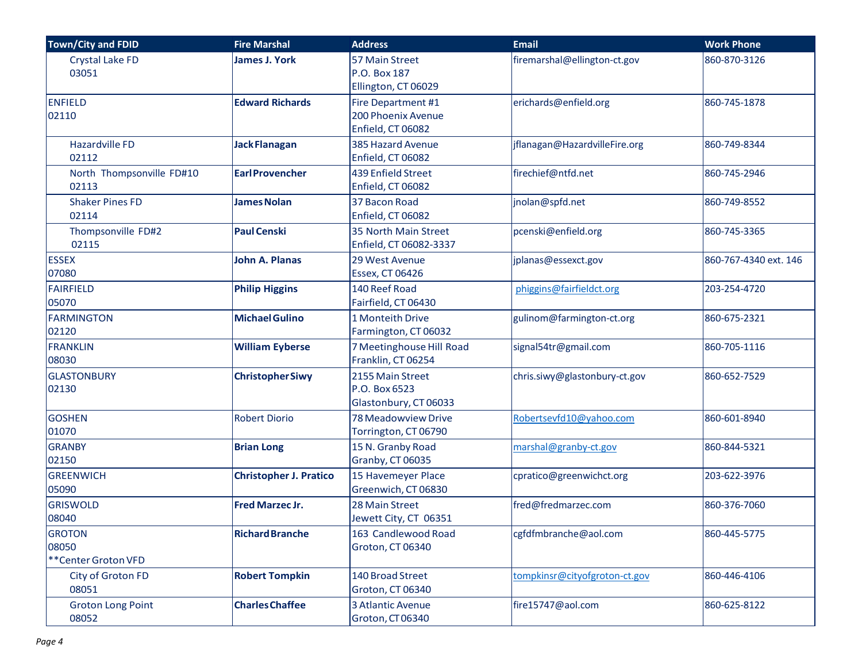| Town/City and FDID                            | <b>Fire Marshal</b>           | <b>Address</b>                                                | <b>Email</b>                  | <b>Work Phone</b>     |
|-----------------------------------------------|-------------------------------|---------------------------------------------------------------|-------------------------------|-----------------------|
| Crystal Lake FD<br>03051                      | <b>James J. York</b>          | 57 Main Street<br>P.O. Box 187<br>Ellington, CT 06029         | firemarshal@ellington-ct.gov  | 860-870-3126          |
| <b>ENFIELD</b><br>02110                       | <b>Edward Richards</b>        | Fire Department #1<br>200 Phoenix Avenue<br>Enfield, CT 06082 | erichards@enfield.org         | 860-745-1878          |
| <b>Hazardville FD</b><br>02112                | <b>Jack Flanagan</b>          | 385 Hazard Avenue<br>Enfield, CT 06082                        | jflanagan@HazardvilleFire.org | 860-749-8344          |
| North Thompsonville FD#10<br>02113            | <b>EarlProvencher</b>         | 439 Enfield Street<br>Enfield, CT 06082                       | firechief@ntfd.net            | 860-745-2946          |
| <b>Shaker Pines FD</b><br>02114               | <b>James Nolan</b>            | 37 Bacon Road<br>Enfield, CT 06082                            | jnolan@spfd.net               | 860-749-8552          |
| Thompsonville FD#2<br>02115                   | <b>Paul Censki</b>            | 35 North Main Street<br>Enfield, CT 06082-3337                | pcenski@enfield.org           | 860-745-3365          |
| <b>ESSEX</b><br>07080                         | <b>John A. Planas</b>         | 29 West Avenue<br><b>Essex, CT 06426</b>                      | jplanas@essexct.gov           | 860-767-4340 ext. 146 |
| <b>FAIRFIELD</b><br>05070                     | <b>Philip Higgins</b>         | 140 Reef Road<br>Fairfield, CT 06430                          | phiggins@fairfieldct.org      | 203-254-4720          |
| <b>FARMINGTON</b><br>02120                    | <b>Michael Gulino</b>         | 1 Monteith Drive<br>Farmington, CT 06032                      | gulinom@farmington-ct.org     | 860-675-2321          |
| <b>FRANKLIN</b><br>08030                      | <b>William Eyberse</b>        | 7 Meetinghouse Hill Road<br>Franklin, CT 06254                | signal54tr@gmail.com          | 860-705-1116          |
| <b>GLASTONBURY</b><br>02130                   | <b>ChristopherSiwy</b>        | 2155 Main Street<br>P.O. Box 6523<br>Glastonbury, CT 06033    | chris.siwy@glastonbury-ct.gov | 860-652-7529          |
| <b>GOSHEN</b><br>01070                        | <b>Robert Diorio</b>          | 78 Meadowview Drive<br>Torrington, CT 06790                   | Robertsevfd10@yahoo.com       | 860-601-8940          |
| <b>GRANBY</b><br>02150                        | <b>Brian Long</b>             | 15 N. Granby Road<br>Granby, CT 06035                         | marshal@granby-ct.gov         | 860-844-5321          |
| <b>GREENWICH</b><br>05090                     | <b>Christopher J. Pratico</b> | 15 Havemeyer Place<br>Greenwich, CT 06830                     | cpratico@greenwichct.org      | 203-622-3976          |
| <b>GRISWOLD</b><br>08040                      | <b>Fred Marzec Jr.</b>        | 28 Main Street<br>Jewett City, CT 06351                       | fred@fredmarzec.com           | 860-376-7060          |
| <b>GROTON</b><br>08050<br>**Center Groton VFD | <b>Richard Branche</b>        | 163 Candlewood Road<br>Groton, CT 06340                       | cgfdfmbranche@aol.com         | 860-445-5775          |
| City of Groton FD<br>08051                    | <b>Robert Tompkin</b>         | 140 Broad Street<br>Groton, CT 06340                          | tompkinsr@cityofgroton-ct.gov | 860-446-4106          |
| <b>Groton Long Point</b><br>08052             | <b>Charles Chaffee</b>        | 3 Atlantic Avenue<br>Groton, CT 06340                         | fire15747@aol.com             | 860-625-8122          |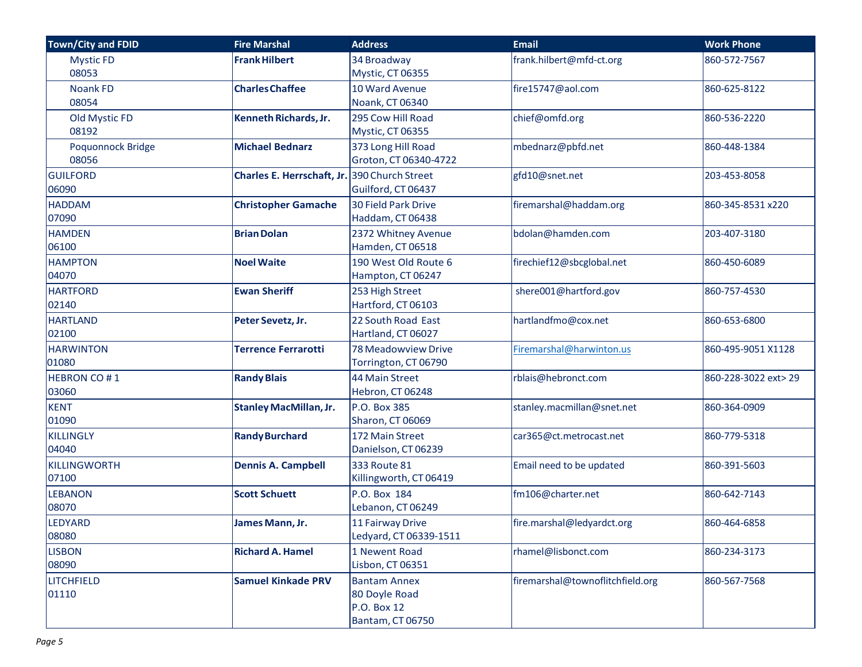| <b>Town/City and FDID</b> | <b>Fire Marshal</b>                          | <b>Address</b>               | <b>Email</b>                     | <b>Work Phone</b>    |
|---------------------------|----------------------------------------------|------------------------------|----------------------------------|----------------------|
| <b>Mystic FD</b>          | <b>Frank Hilbert</b>                         | 34 Broadway                  | frank.hilbert@mfd-ct.org         | 860-572-7567         |
| 08053                     |                                              | Mystic, CT 06355             |                                  |                      |
| <b>Noank FD</b>           | <b>Charles Chaffee</b>                       | 10 Ward Avenue               | fire15747@aol.com                | 860-625-8122         |
| 08054                     |                                              | Noank, CT 06340              |                                  |                      |
| Old Mystic FD             | Kenneth Richards, Jr.                        | 295 Cow Hill Road            | chief@omfd.org                   | 860-536-2220         |
| 08192                     |                                              | Mystic, CT 06355             |                                  |                      |
| Poquonnock Bridge         | <b>Michael Bednarz</b>                       | 373 Long Hill Road           | mbednarz@pbfd.net                | 860-448-1384         |
| 08056                     |                                              | Groton, CT 06340-4722        |                                  |                      |
| <b>GUILFORD</b>           | Charles E. Herrschaft, Jr. 390 Church Street |                              | gfd10@snet.net                   | 203-453-8058         |
| 06090                     |                                              | Guilford, CT 06437           |                                  |                      |
| <b>HADDAM</b>             | <b>Christopher Gamache</b>                   | <b>30 Field Park Drive</b>   | firemarshal@haddam.org           | 860-345-8531 x220    |
| 07090                     |                                              | Haddam, CT 06438             |                                  |                      |
| <b>HAMDEN</b>             | <b>Brian Dolan</b>                           | 2372 Whitney Avenue          | bdolan@hamden.com                | 203-407-3180         |
| 06100                     |                                              | Hamden, CT 06518             |                                  |                      |
| <b>HAMPTON</b>            | <b>Noel Waite</b>                            | 190 West Old Route 6         | firechief12@sbcglobal.net        | 860-450-6089         |
| 04070                     |                                              | Hampton, CT 06247            |                                  |                      |
| <b>HARTFORD</b>           | <b>Ewan Sheriff</b>                          | 253 High Street              | shere001@hartford.gov            | 860-757-4530         |
| 02140                     |                                              | Hartford, CT 06103           |                                  |                      |
| <b>HARTLAND</b>           | Peter Sevetz, Jr.                            | 22 South Road East           | hartlandfmo@cox.net              | 860-653-6800         |
| 02100                     |                                              | Hartland, CT 06027           |                                  |                      |
| <b>HARWINTON</b>          | <b>Terrence Ferrarotti</b>                   | 78 Meadowview Drive          | Firemarshal@harwinton.us         | 860-495-9051 X1128   |
| 01080                     |                                              | Torrington, CT 06790         |                                  |                      |
| <b>HEBRON CO#1</b>        | <b>Randy Blais</b>                           | 44 Main Street               | rblais@hebronct.com              | 860-228-3022 ext> 29 |
| 03060                     |                                              | Hebron, CT 06248             |                                  |                      |
| <b>KENT</b>               | <b>Stanley MacMillan, Jr.</b>                | P.O. Box 385                 | stanley.macmillan@snet.net       | 860-364-0909         |
| 01090                     |                                              | Sharon, CT 06069             |                                  |                      |
| KILLINGLY                 | <b>Randy Burchard</b>                        | 172 Main Street              | car365@ct.metrocast.net          | 860-779-5318         |
| 04040                     |                                              | Danielson, CT 06239          |                                  |                      |
| KILLINGWORTH              | <b>Dennis A. Campbell</b>                    | 333 Route 81                 | Email need to be updated         | 860-391-5603         |
| 07100                     |                                              | Killingworth, CT 06419       |                                  |                      |
| <b>LEBANON</b>            | <b>Scott Schuett</b>                         | P.O. Box 184                 | fm106@charter.net                | 860-642-7143         |
| 08070                     |                                              | Lebanon, CT 06249            |                                  |                      |
| LEDYARD                   | James Mann, Jr.                              | 11 Fairway Drive             | fire.marshal@ledyardct.org       | 860-464-6858         |
| 08080                     |                                              | Ledyard, CT 06339-1511       |                                  |                      |
| <b>LISBON</b>             | <b>Richard A. Hamel</b>                      | 1 Newent Road                | rhamel@lisbonct.com              | 860-234-3173         |
| 08090                     |                                              | Lisbon, CT 06351             |                                  |                      |
| <b>LITCHFIELD</b>         | <b>Samuel Kinkade PRV</b>                    | <b>Bantam Annex</b>          | firemarshal@townoflitchfield.org | 860-567-7568         |
| 01110                     |                                              | 80 Doyle Road<br>P.O. Box 12 |                                  |                      |
|                           |                                              | Bantam, CT 06750             |                                  |                      |
|                           |                                              |                              |                                  |                      |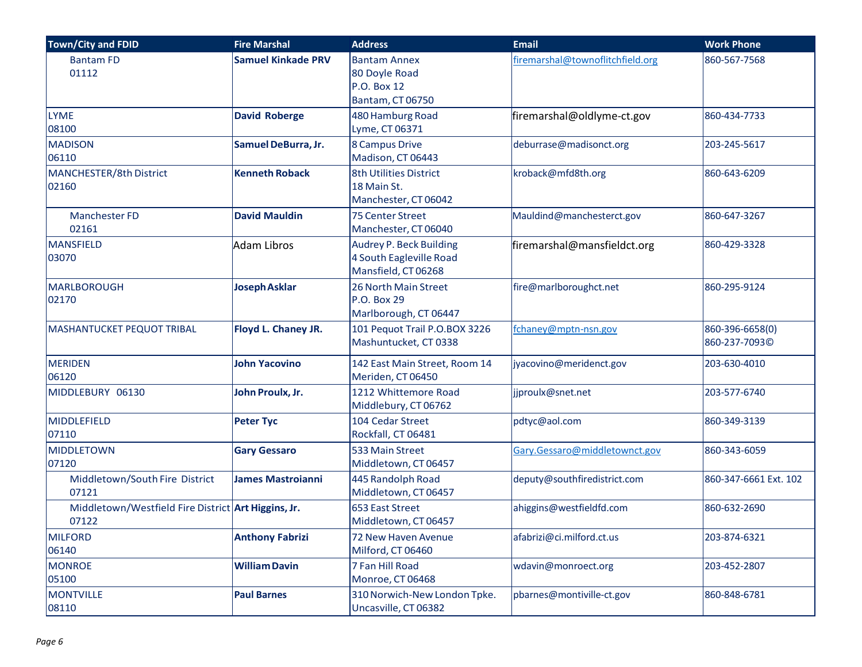| <b>Town/City and FDID</b>                                    | <b>Fire Marshal</b>       | <b>Address</b>                                                                   | <b>Email</b>                     | <b>Work Phone</b>                |
|--------------------------------------------------------------|---------------------------|----------------------------------------------------------------------------------|----------------------------------|----------------------------------|
| <b>Bantam FD</b><br>01112                                    | <b>Samuel Kinkade PRV</b> | <b>Bantam Annex</b><br>80 Doyle Road<br>P.O. Box 12<br>Bantam, CT 06750          | firemarshal@townoflitchfield.org | 860-567-7568                     |
| <b>LYME</b><br>08100                                         | <b>David Roberge</b>      | 480 Hamburg Road<br>Lyme, CT 06371                                               | firemarshal@oldlyme-ct.gov       | 860-434-7733                     |
| <b>MADISON</b><br>06110                                      | Samuel DeBurra, Jr.       | 8 Campus Drive<br>Madison, CT 06443                                              | deburrase@madisonct.org          | 203-245-5617                     |
| <b>MANCHESTER/8th District</b><br>02160                      | <b>Kenneth Roback</b>     | 8th Utilities District<br>18 Main St.<br>Manchester, CT 06042                    | kroback@mfd8th.org               | 860-643-6209                     |
| <b>Manchester FD</b><br>02161                                | <b>David Mauldin</b>      | 75 Center Street<br>Manchester, CT 06040                                         | Mauldind@manchesterct.gov        | 860-647-3267                     |
| MANSFIELD<br>03070                                           | <b>Adam Libros</b>        | <b>Audrey P. Beck Building</b><br>4 South Eagleville Road<br>Mansfield, CT 06268 | firemarshal@mansfieldct.org      | 860-429-3328                     |
| <b>MARLBOROUGH</b><br>02170                                  | <b>Joseph Asklar</b>      | 26 North Main Street<br>P.O. Box 29<br>Marlborough, CT 06447                     | fire@marlboroughct.net           | 860-295-9124                     |
| MASHANTUCKET PEQUOT TRIBAL                                   | Floyd L. Chaney JR.       | 101 Pequot Trail P.O.BOX 3226<br>Mashuntucket, CT 0338                           | fchaney@mptn-nsn.gov             | 860-396-6658(0)<br>860-237-7093C |
| <b>MERIDEN</b><br>06120                                      | <b>John Yacovino</b>      | 142 East Main Street, Room 14<br>Meriden, CT 06450                               | jyacovino@meridenct.gov          | 203-630-4010                     |
| MIDDLEBURY 06130                                             | John Proulx, Jr.          | 1212 Whittemore Road<br>Middlebury, CT 06762                                     | jjproulx@snet.net                | 203-577-6740                     |
| MIDDLEFIELD<br>07110                                         | <b>Peter Tyc</b>          | 104 Cedar Street<br>Rockfall, CT 06481                                           | pdtyc@aol.com                    | 860-349-3139                     |
| MIDDLETOWN<br>07120                                          | <b>Gary Gessaro</b>       | 533 Main Street<br>Middletown, CT 06457                                          | Gary.Gessaro@middletownct.gov    | 860-343-6059                     |
| Middletown/South Fire District<br>07121                      | <b>James Mastroianni</b>  | 445 Randolph Road<br>Middletown, CT 06457                                        | deputy@southfiredistrict.com     | 860-347-6661 Ext. 102            |
| Middletown/Westfield Fire District Art Higgins, Jr.<br>07122 |                           | 653 East Street<br>Middletown, CT 06457                                          | ahiggins@westfieldfd.com         | 860-632-2690                     |
| <b>MILFORD</b><br>06140                                      | <b>Anthony Fabrizi</b>    | 72 New Haven Avenue<br>Milford, CT 06460                                         | afabrizi@ci.milford.ct.us        | 203-874-6321                     |
| <b>MONROE</b><br>05100                                       | <b>William Davin</b>      | 7 Fan Hill Road<br>Monroe, CT 06468                                              | wdavin@monroect.org              | 203-452-2807                     |
| <b>MONTVILLE</b><br>08110                                    | <b>Paul Barnes</b>        | 310 Norwich-New London Tpke.<br>Uncasville, CT 06382                             | pbarnes@montiville-ct.gov        | 860-848-6781                     |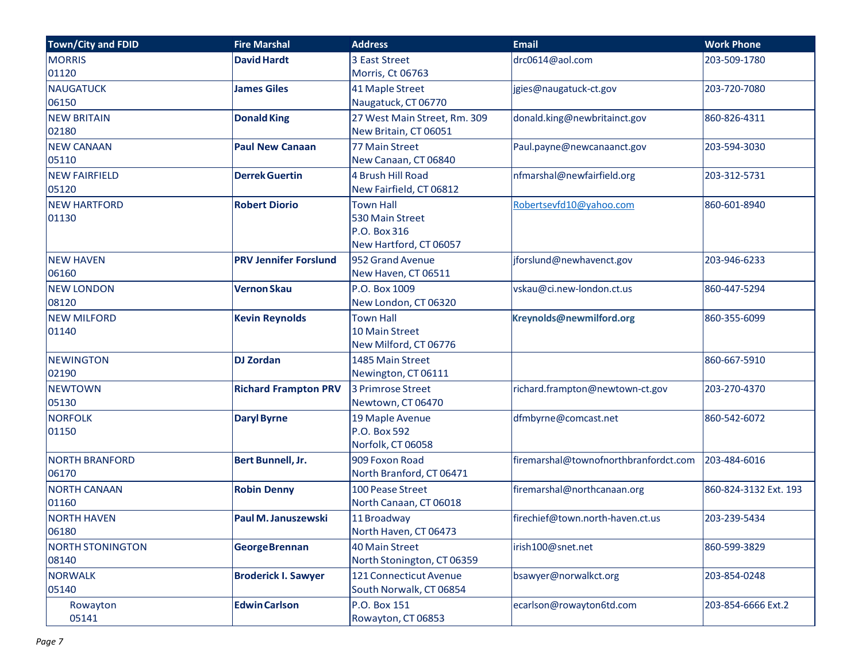| Town/City and FDID      | <b>Fire Marshal</b>          | <b>Address</b>               | <b>Email</b>                          | <b>Work Phone</b>     |
|-------------------------|------------------------------|------------------------------|---------------------------------------|-----------------------|
| <b>MORRIS</b>           | <b>David Hardt</b>           | 3 East Street                | drc0614@aol.com                       | 203-509-1780          |
| 01120                   |                              | Morris, Ct 06763             |                                       |                       |
| <b>NAUGATUCK</b>        | <b>James Giles</b>           | 41 Maple Street              | jgies@naugatuck-ct.gov                | 203-720-7080          |
| 06150                   |                              | Naugatuck, CT 06770          |                                       |                       |
| <b>NEW BRITAIN</b>      | <b>Donald King</b>           | 27 West Main Street, Rm. 309 | donald.king@newbritainct.gov          | 860-826-4311          |
| 02180                   |                              | New Britain, CT 06051        |                                       |                       |
| <b>NEW CANAAN</b>       | <b>Paul New Canaan</b>       | 77 Main Street               | Paul.payne@newcanaanct.gov            | 203-594-3030          |
| 05110                   |                              | New Canaan, CT 06840         |                                       |                       |
| <b>NEW FAIRFIELD</b>    | <b>Derrek Guertin</b>        | 4 Brush Hill Road            | nfmarshal@newfairfield.org            | 203-312-5731          |
| 05120                   |                              | New Fairfield, CT 06812      |                                       |                       |
| <b>NEW HARTFORD</b>     | <b>Robert Diorio</b>         | <b>Town Hall</b>             | Robertsevfd10@yahoo.com               | 860-601-8940          |
| 01130                   |                              | 530 Main Street              |                                       |                       |
|                         |                              | P.O. Box 316                 |                                       |                       |
|                         |                              | New Hartford, CT 06057       |                                       |                       |
| <b>NEW HAVEN</b>        | <b>PRV Jennifer Forslund</b> | 952 Grand Avenue             | jforslund@newhavenct.gov              | 203-946-6233          |
| 06160                   |                              | New Haven, CT 06511          |                                       |                       |
| <b>NEW LONDON</b>       | <b>Vernon Skau</b>           | P.O. Box 1009                | vskau@ci.new-london.ct.us             | 860-447-5294          |
| 08120                   |                              | New London, CT 06320         |                                       |                       |
| <b>NEW MILFORD</b>      | <b>Kevin Reynolds</b>        | <b>Town Hall</b>             | Kreynolds@newmilford.org              | 860-355-6099          |
| 01140                   |                              | 10 Main Street               |                                       |                       |
|                         |                              | New Milford, CT 06776        |                                       |                       |
| <b>NEWINGTON</b>        | <b>DJ Zordan</b>             | 1485 Main Street             |                                       | 860-667-5910          |
| 02190                   |                              | Newington, CT 06111          |                                       |                       |
| <b>NEWTOWN</b>          | <b>Richard Frampton PRV</b>  | <b>3 Primrose Street</b>     | richard.frampton@newtown-ct.gov       | 203-270-4370          |
| 05130                   |                              | Newtown, CT 06470            |                                       |                       |
| <b>NORFOLK</b>          | <b>Daryl Byrne</b>           | 19 Maple Avenue              | dfmbyrne@comcast.net                  | 860-542-6072          |
| 01150                   |                              | P.O. Box 592                 |                                       |                       |
|                         |                              | Norfolk, CT 06058            |                                       |                       |
| <b>NORTH BRANFORD</b>   | Bert Bunnell, Jr.            | 909 Foxon Road               | firemarshal@townofnorthbranfordct.com | 203-484-6016          |
| 06170                   |                              | North Branford, CT 06471     |                                       |                       |
| <b>NORTH CANAAN</b>     | <b>Robin Denny</b>           | 100 Pease Street             | firemarshal@northcanaan.org           | 860-824-3132 Ext. 193 |
| 01160                   |                              | North Canaan, CT 06018       |                                       |                       |
| <b>NORTH HAVEN</b>      | Paul M. Januszewski          | 11 Broadway                  | firechief@town.north-haven.ct.us      | 203-239-5434          |
| 06180                   |                              | North Haven, CT 06473        |                                       |                       |
| <b>NORTH STONINGTON</b> | <b>GeorgeBrennan</b>         | <b>40 Main Street</b>        | irish100@snet.net                     | 860-599-3829          |
| 08140                   |                              | North Stonington, CT 06359   |                                       |                       |
| <b>NORWALK</b>          | <b>Broderick I. Sawyer</b>   | 121 Connecticut Avenue       | bsawyer@norwalkct.org                 | 203-854-0248          |
| 05140                   |                              | South Norwalk, CT 06854      |                                       |                       |
| Rowayton                | <b>Edwin Carlson</b>         | P.O. Box 151                 | ecarlson@rowayton6td.com              | 203-854-6666 Ext.2    |
| 05141                   |                              | Rowayton, CT 06853           |                                       |                       |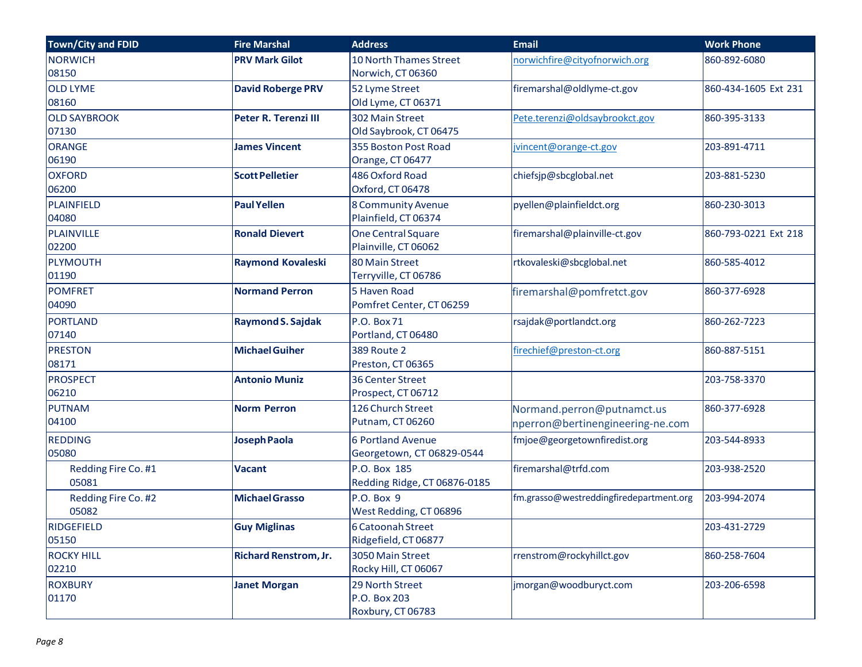| <b>Town/City and FDID</b>    | <b>Fire Marshal</b>          | <b>Address</b>                                        | <b>Email</b>                                                   | <b>Work Phone</b>    |
|------------------------------|------------------------------|-------------------------------------------------------|----------------------------------------------------------------|----------------------|
| <b>NORWICH</b><br>08150      | <b>PRV Mark Gilot</b>        | 10 North Thames Street<br>Norwich, CT 06360           | norwichfire@cityofnorwich.org                                  | 860-892-6080         |
| <b>OLD LYME</b><br>08160     | <b>David Roberge PRV</b>     | 52 Lyme Street<br>Old Lyme, CT 06371                  | firemarshal@oldlyme-ct.gov                                     | 860-434-1605 Ext 231 |
| <b>OLD SAYBROOK</b><br>07130 | Peter R. Terenzi III         | 302 Main Street<br>Old Saybrook, CT 06475             | Pete.terenzi@oldsaybrookct.gov                                 | 860-395-3133         |
| <b>ORANGE</b><br>06190       | <b>James Vincent</b>         | 355 Boston Post Road<br>Orange, CT 06477              | jvincent@orange-ct.gov                                         | 203-891-4711         |
| <b>OXFORD</b><br>06200       | <b>Scott Pelletier</b>       | 486 Oxford Road<br>Oxford, CT 06478                   | chiefsjp@sbcglobal.net                                         | 203-881-5230         |
| PLAINFIELD<br>04080          | <b>Paul Yellen</b>           | <b>8 Community Avenue</b><br>Plainfield, CT 06374     | pyellen@plainfieldct.org                                       | 860-230-3013         |
| PLAINVILLE<br>02200          | <b>Ronald Dievert</b>        | <b>One Central Square</b><br>Plainville, CT 06062     | firemarshal@plainville-ct.gov                                  | 860-793-0221 Ext 218 |
| PLYMOUTH<br>01190            | <b>Raymond Kovaleski</b>     | 80 Main Street<br>Terryville, CT 06786                | rtkovaleski@sbcglobal.net                                      | 860-585-4012         |
| <b>POMFRET</b><br>04090      | <b>Normand Perron</b>        | 5 Haven Road<br>Pomfret Center, CT 06259              | firemarshal@pomfretct.gov                                      | 860-377-6928         |
| <b>PORTLAND</b><br>07140     | <b>Raymond S. Sajdak</b>     | P.O. Box 71<br>Portland, CT 06480                     | rsajdak@portlandct.org                                         | 860-262-7223         |
| <b>PRESTON</b><br>08171      | <b>Michael Guiher</b>        | <b>389 Route 2</b><br>Preston, CT 06365               | firechief@preston-ct.org                                       | 860-887-5151         |
| <b>PROSPECT</b><br>06210     | <b>Antonio Muniz</b>         | 36 Center Street<br>Prospect, CT 06712                |                                                                | 203-758-3370         |
| <b>PUTNAM</b><br>04100       | <b>Norm Perron</b>           | 126 Church Street<br>Putnam, CT 06260                 | Normand.perron@putnamct.us<br>nperron@bertinengineering-ne.com | 860-377-6928         |
| <b>REDDING</b><br>05080      | <b>Joseph Paola</b>          | <b>6 Portland Avenue</b><br>Georgetown, CT 06829-0544 | fmjoe@georgetownfiredist.org                                   | 203-544-8933         |
| Redding Fire Co. #1<br>05081 | <b>Vacant</b>                | P.O. Box 185<br>Redding Ridge, CT 06876-0185          | firemarshal@trfd.com                                           | 203-938-2520         |
| Redding Fire Co. #2<br>05082 | <b>Michael Grasso</b>        | P.O. Box 9<br>West Redding, CT 06896                  | fm.grasso@westreddingfiredepartment.org                        | 203-994-2074         |
| <b>RIDGEFIELD</b><br>05150   | <b>Guy Miglinas</b>          | 6 Catoonah Street<br>Ridgefield, CT 06877             |                                                                | 203-431-2729         |
| <b>ROCKY HILL</b><br>02210   | <b>Richard Renstrom, Jr.</b> | 3050 Main Street<br>Rocky Hill, CT 06067              | rrenstrom@rockyhillct.gov                                      | 860-258-7604         |
| <b>ROXBURY</b><br>01170      | <b>Janet Morgan</b>          | 29 North Street<br>P.O. Box 203<br>Roxbury, CT 06783  | jmorgan@woodburyct.com                                         | 203-206-6598         |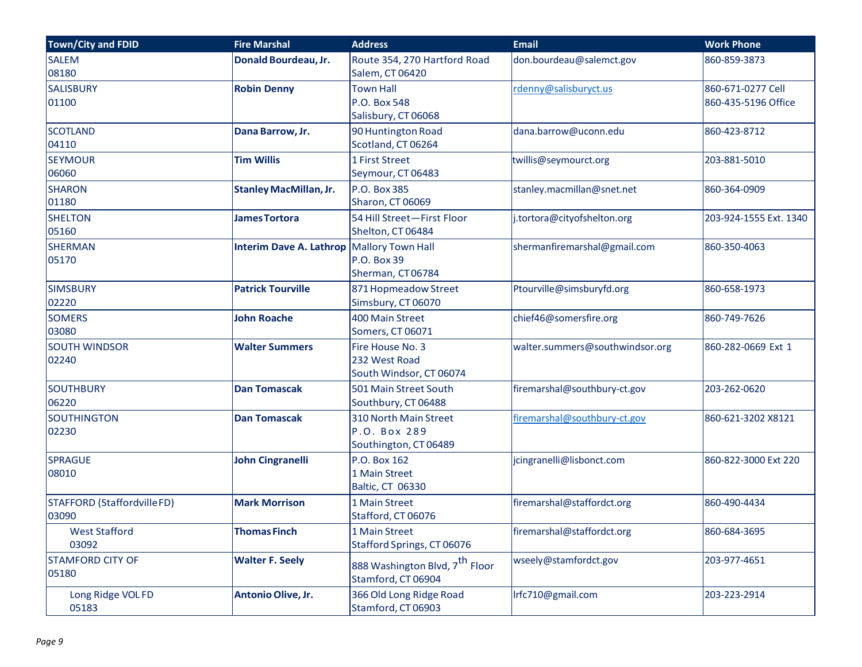| <b>Town/City and FDID</b>           | <b>Fire Marshal</b>            | <b>Address</b>                                                   | <b>Email</b>                    | <b>Work Phone</b>                        |
|-------------------------------------|--------------------------------|------------------------------------------------------------------|---------------------------------|------------------------------------------|
| <b>SALEM</b><br>08180               | Donald Bourdeau, Jr.           | Route 354, 270 Hartford Road<br>Salem, CT 06420                  | don.bourdeau@salemct.gov        | 860-859-3873                             |
| <b>SALISBURY</b><br>01100           | <b>Robin Denny</b>             | <b>Town Hall</b><br>P.O. Box 548<br>Salisbury, CT 06068          | rdenny@salisburyct.us           | 860-671-0277 Cell<br>860-435-5196 Office |
| <b>SCOTLAND</b><br>04110            | Dana Barrow, Jr.               | 90 Huntington Road<br>Scotland, CT 06264                         | dana.barrow@uconn.edu           | 860-423-8712                             |
| <b>SEYMOUR</b><br>06060             | <b>Tim Willis</b>              | 1 First Street<br>Seymour, CT 06483                              | twillis@seymourct.org           | 203-881-5010                             |
| <b>SHARON</b><br>01180              | <b>Stanley MacMillan, Jr.</b>  | P.O. Box 385<br><b>Sharon, CT 06069</b>                          | stanley.macmillan@snet.net      | 860-364-0909                             |
| <b>SHELTON</b><br>05160             | <b>James Tortora</b>           | 54 Hill Street-First Floor<br>Shelton, CT 06484                  | j.tortora@cityofshelton.org     | 203-924-1555 Ext. 1340                   |
| <b>SHERMAN</b><br>05170             | <b>Interim Dave A. Lathrop</b> | Mallory Town Hall<br>P.O. Box 39<br>Sherman, CT06784             | shermanfiremarshal@gmail.com    | 860-350-4063                             |
| <b>SIMSBURY</b><br>02220            | <b>Patrick Tourville</b>       | 871 Hopmeadow Street<br>Simsbury, CT 06070                       | Ptourville@simsburyfd.org       | 860-658-1973                             |
| <b>SOMERS</b><br>03080              | <b>John Roache</b>             | 400 Main Street<br>Somers, CT 06071                              | chief46@somersfire.org          | 860-749-7626                             |
| <b>SOUTH WINDSOR</b><br>02240       | <b>Walter Summers</b>          | Fire House No. 3<br>232 West Road<br>South Windsor, CT 06074     | walter.summers@southwindsor.org | 860-282-0669 Ext 1                       |
| <b>SOUTHBURY</b><br>06220           | <b>Dan Tomascak</b>            | 501 Main Street South<br>Southbury, CT 06488                     | firemarshal@southbury-ct.gov    | 203-262-0620                             |
| <b>SOUTHINGTON</b><br>02230         | <b>Dan Tomascak</b>            | 310 North Main Street<br>P.O. Box 289<br>Southington, CT 06489   | firemarshal@southbury-ct.gov    | 860-621-3202 X8121                       |
| <b>SPRAGUE</b><br>08010             | <b>John Cingranelli</b>        | P.O. Box 162<br>1 Main Street<br>Baltic, CT 06330                | jcingranelli@lisbonct.com       | 860-822-3000 Ext 220                     |
| STAFFORD (StaffordvilleFD)<br>03090 | <b>Mark Morrison</b>           | 1 Main Street<br>Stafford, CT 06076                              | firemarshal@staffordct.org      | 860-490-4434                             |
| <b>West Stafford</b><br>03092       | <b>Thomas Finch</b>            | 1 Main Street<br>Stafford Springs, CT 06076                      | firemarshal@staffordct.org      | 860-684-3695                             |
| <b>STAMFORD CITY OF</b><br>05180    | <b>Walter F. Seely</b>         | 888 Washington Blvd, 7 <sup>th</sup> Floor<br>Stamford, CT 06904 | wseely@stamfordct.gov           | 203-977-4651                             |
| Long Ridge VOL FD<br>05183          | Antonio Olive, Jr.             | 366 Old Long Ridge Road<br>Stamford, CT 06903                    | Irfc710@gmail.com               | 203-223-2914                             |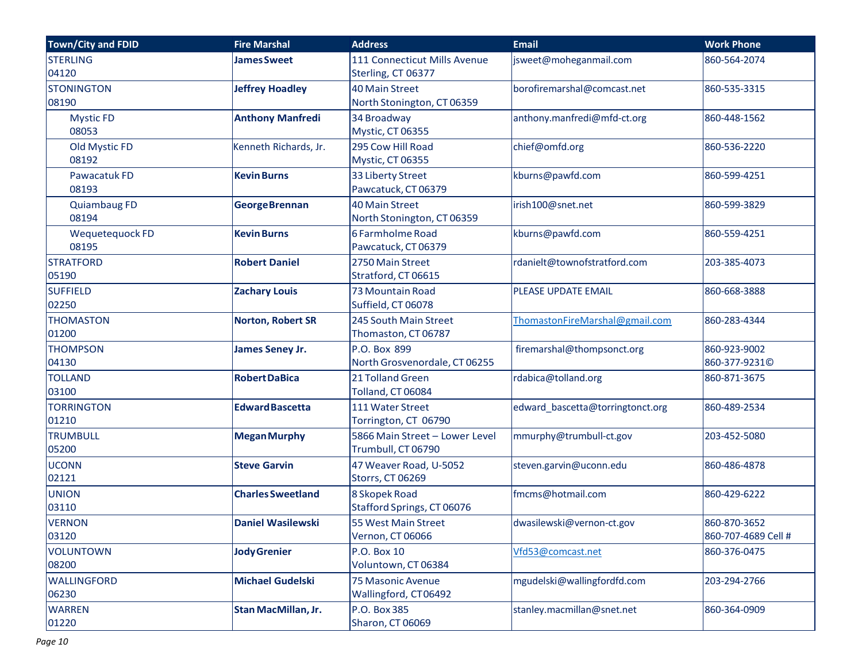| Town/City and FDID           | <b>Fire Marshal</b>        | <b>Address</b>                                       | <b>Email</b>                     | <b>Work Phone</b>                   |
|------------------------------|----------------------------|------------------------------------------------------|----------------------------------|-------------------------------------|
| <b>STERLING</b><br>04120     | <b>James Sweet</b>         | 111 Connecticut Mills Avenue<br>Sterling, CT 06377   | jsweet@moheganmail.com           | 860-564-2074                        |
| <b>STONINGTON</b><br>08190   | <b>Jeffrey Hoadley</b>     | <b>40 Main Street</b><br>North Stonington, CT 06359  | borofiremarshal@comcast.net      | 860-535-3315                        |
| <b>Mystic FD</b><br>08053    | <b>Anthony Manfredi</b>    | 34 Broadway<br>Mystic, CT 06355                      | anthony.manfredi@mfd-ct.org      | 860-448-1562                        |
| Old Mystic FD<br>08192       | Kenneth Richards, Jr.      | 295 Cow Hill Road<br>Mystic, CT 06355                | chief@omfd.org                   | 860-536-2220                        |
| Pawacatuk FD<br>08193        | <b>Kevin Burns</b>         | 33 Liberty Street<br>Pawcatuck, CT 06379             | kburns@pawfd.com                 | 860-599-4251                        |
| <b>Quiambaug FD</b><br>08194 | <b>George Brennan</b>      | <b>40 Main Street</b><br>North Stonington, CT 06359  | irish100@snet.net                | 860-599-3829                        |
| Wequetequock FD<br>08195     | <b>Kevin Burns</b>         | 6 Farmholme Road<br>Pawcatuck, CT06379               | kburns@pawfd.com                 | 860-559-4251                        |
| <b>STRATFORD</b><br>05190    | <b>Robert Daniel</b>       | 2750 Main Street<br>Stratford, CT 06615              | rdanielt@townofstratford.com     | 203-385-4073                        |
| <b>SUFFIELD</b><br>02250     | <b>Zachary Louis</b>       | 73 Mountain Road<br>Suffield, CT 06078               | PLEASE UPDATE EMAIL              | 860-668-3888                        |
| <b>THOMASTON</b><br>01200    | <b>Norton, Robert SR</b>   | 245 South Main Street<br>Thomaston, CT 06787         | ThomastonFireMarshal@gmail.com   | 860-283-4344                        |
| <b>THOMPSON</b><br>04130     | <b>James Seney Jr.</b>     | P.O. Box 899<br>North Grosvenordale, CT 06255        | firemarshal@thompsonct.org       | 860-923-9002<br>860-377-9231©       |
| <b>TOLLAND</b><br>03100      | <b>Robert DaBica</b>       | 21 Tolland Green<br>Tolland, CT 06084                | rdabica@tolland.org              | 860-871-3675                        |
| <b>TORRINGTON</b><br>01210   | <b>Edward Bascetta</b>     | 111 Water Street<br>Torrington, CT 06790             | edward_bascetta@torringtonct.org | 860-489-2534                        |
| <b>TRUMBULL</b><br>05200     | <b>Megan Murphy</b>        | 5866 Main Street - Lower Level<br>Trumbull, CT 06790 | mmurphy@trumbull-ct.gov          | 203-452-5080                        |
| <b>UCONN</b><br>02121        | <b>Steve Garvin</b>        | 47 Weaver Road, U-5052<br><b>Storrs, CT 06269</b>    | steven.garvin@uconn.edu          | 860-486-4878                        |
| <b>UNION</b><br>03110        | <b>Charles Sweetland</b>   | 8 Skopek Road<br>Stafford Springs, CT 06076          | fmcms@hotmail.com                | 860-429-6222                        |
| <b>VERNON</b><br>03120       | <b>Daniel Wasilewski</b>   | 55 West Main Street<br><b>Vernon, CT 06066</b>       | dwasilewski@vernon-ct.gov        | 860-870-3652<br>860-707-4689 Cell # |
| <b>VOLUNTOWN</b><br>08200    | <b>Jody Grenier</b>        | P.O. Box 10<br>Voluntown, CT 06384                   | Vfd53@comcast.net                | 860-376-0475                        |
| <b>WALLINGFORD</b><br>06230  | <b>Michael Gudelski</b>    | <b>75 Masonic Avenue</b><br>Wallingford, CT06492     | mgudelski@wallingfordfd.com      | 203-294-2766                        |
| <b>WARREN</b><br>01220       | <b>Stan MacMillan, Jr.</b> | P.O. Box 385<br>Sharon, CT 06069                     | stanley.macmillan@snet.net       | 860-364-0909                        |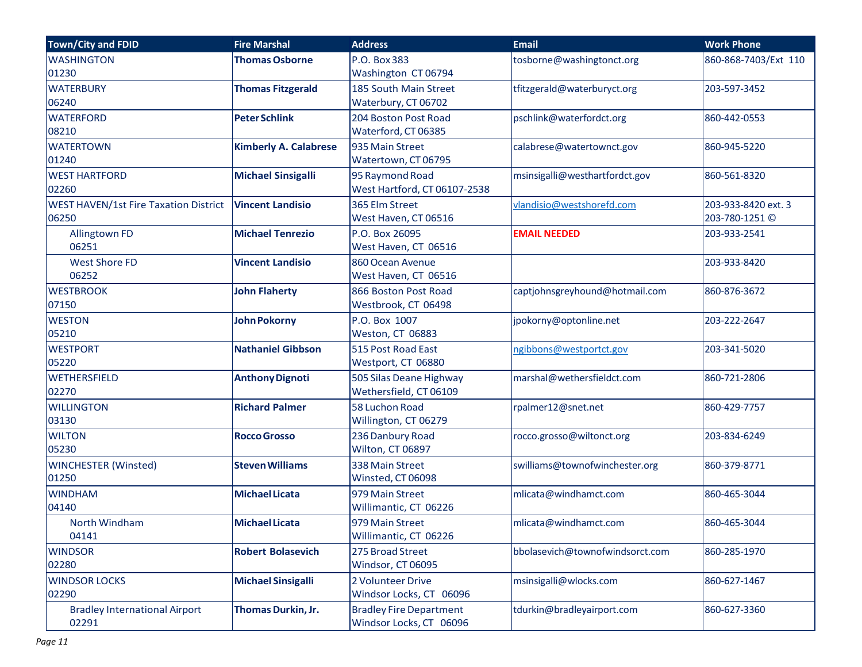| <b>Town/City and FDID</b>                    | <b>Fire Marshal</b>          | <b>Address</b>                 | <b>Email</b>                    | <b>Work Phone</b>    |
|----------------------------------------------|------------------------------|--------------------------------|---------------------------------|----------------------|
| <b>WASHINGTON</b>                            | <b>Thomas Osborne</b>        | P.O. Box 383                   | tosborne@washingtonct.org       | 860-868-7403/Ext 110 |
| 01230                                        |                              | Washington CT 06794            |                                 |                      |
| <b>WATERBURY</b>                             | <b>Thomas Fitzgerald</b>     | 185 South Main Street          | tfitzgerald@waterburyct.org     | 203-597-3452         |
| 06240                                        |                              | Waterbury, CT 06702            |                                 |                      |
| <b>WATERFORD</b>                             | <b>Peter Schlink</b>         | 204 Boston Post Road           | pschlink@waterfordct.org        | 860-442-0553         |
| 08210                                        |                              | Waterford, CT 06385            |                                 |                      |
| <b>WATERTOWN</b>                             | <b>Kimberly A. Calabrese</b> | 935 Main Street                | calabrese@watertownct.gov       | 860-945-5220         |
| 01240                                        |                              | Watertown, CT 06795            |                                 |                      |
| <b>WEST HARTFORD</b>                         | <b>Michael Sinsigalli</b>    | 95 Raymond Road                | msinsigalli@westhartfordct.gov  | 860-561-8320         |
| 02260                                        |                              | West Hartford, CT 06107-2538   |                                 |                      |
| <b>WEST HAVEN/1st Fire Taxation District</b> | <b>Vincent Landisio</b>      | 365 Elm Street                 | vlandisio@westshorefd.com       | 203-933-8420 ext. 3  |
| 06250                                        |                              | West Haven, CT 06516           |                                 | 203-780-1251 ©       |
| <b>Allingtown FD</b>                         | <b>Michael Tenrezio</b>      | P.O. Box 26095                 | <b>EMAIL NEEDED</b>             | 203-933-2541         |
| 06251                                        |                              | West Haven, CT 06516           |                                 |                      |
| <b>West Shore FD</b>                         | <b>Vincent Landisio</b>      | 860 Ocean Avenue               |                                 | 203-933-8420         |
| 06252                                        |                              | West Haven, CT 06516           |                                 |                      |
| <b>WESTBROOK</b>                             | <b>John Flaherty</b>         | 866 Boston Post Road           | captjohnsgreyhound@hotmail.com  | 860-876-3672         |
| 07150                                        |                              | Westbrook, CT 06498            |                                 |                      |
| <b>WESTON</b>                                | <b>John Pokorny</b>          | P.O. Box 1007                  | jpokorny@optonline.net          | 203-222-2647         |
| 05210                                        |                              | Weston, CT 06883               |                                 |                      |
| <b>WESTPORT</b>                              | <b>Nathaniel Gibbson</b>     | 515 Post Road East             | ngibbons@westportct.gov         | 203-341-5020         |
| 05220                                        |                              | Westport, CT 06880             |                                 |                      |
| <b>WETHERSFIELD</b>                          | <b>Anthony Dignoti</b>       | 505 Silas Deane Highway        | marshal@wethersfieldct.com      | 860-721-2806         |
| 02270                                        |                              | Wethersfield, CT 06109         |                                 |                      |
| <b>WILLINGTON</b>                            | <b>Richard Palmer</b>        | 58 Luchon Road                 | rpalmer12@snet.net              | 860-429-7757         |
| 03130                                        |                              | Willington, CT 06279           |                                 |                      |
| <b>WILTON</b>                                | <b>Rocco Grosso</b>          | 236 Danbury Road               | rocco.grosso@wiltonct.org       | 203-834-6249         |
| 05230                                        |                              | Wilton, CT 06897               |                                 |                      |
| <b>WINCHESTER (Winsted)</b>                  | <b>Steven Williams</b>       | 338 Main Street                | swilliams@townofwinchester.org  | 860-379-8771         |
| 01250                                        |                              | Winsted, CT 06098              |                                 |                      |
| <b>WINDHAM</b>                               | <b>Michael Licata</b>        | 979 Main Street                | mlicata@windhamct.com           | 860-465-3044         |
| 04140                                        |                              | Willimantic, CT 06226          |                                 |                      |
| North Windham                                | <b>Michael Licata</b>        | 979 Main Street                | mlicata@windhamct.com           | 860-465-3044         |
| 04141                                        |                              | Willimantic, CT 06226          |                                 |                      |
| <b>WINDSOR</b>                               | <b>Robert Bolasevich</b>     | 275 Broad Street               | bbolasevich@townofwindsorct.com | 860-285-1970         |
| 02280                                        |                              | Windsor, CT 06095              |                                 |                      |
| <b>WINDSOR LOCKS</b>                         | <b>Michael Sinsigalli</b>    | 2 Volunteer Drive              | msinsigalli@wlocks.com          | 860-627-1467         |
| 02290                                        |                              | Windsor Locks, CT 06096        |                                 |                      |
| <b>Bradley International Airport</b>         | <b>Thomas Durkin, Jr.</b>    | <b>Bradley Fire Department</b> | tdurkin@bradleyairport.com      | 860-627-3360         |
| 02291                                        |                              | Windsor Locks, CT 06096        |                                 |                      |